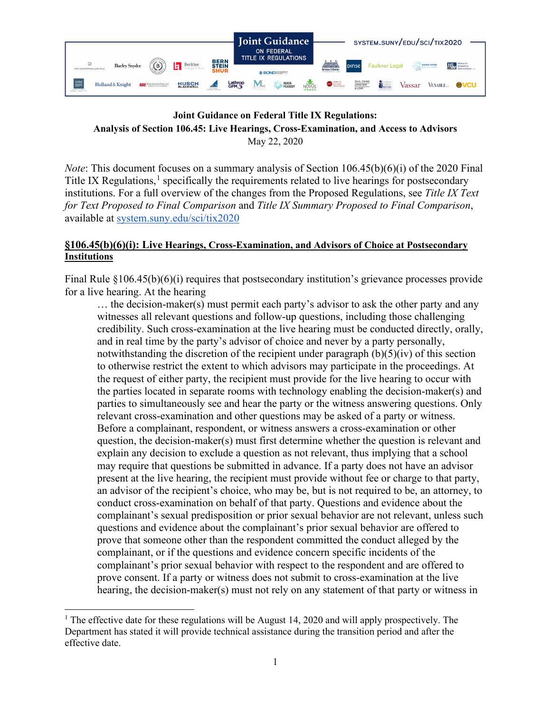

# **Joint Guidance on Federal Title IX Regulations: Analysis of Section 106.45: Live Hearings, Cross-Examination, and Access to Advisors** May 22, 2020

*Note*: This document focuses on a summary analysis of Section 106.45(b)(6)(i) of the 2020 Final Title IX Regulations, $<sup>1</sup>$  $<sup>1</sup>$  $<sup>1</sup>$  specifically the requirements related to live hearings for postsecondary</sup> institutions. For a full overview of the changes from the Proposed Regulations, see *Title IX Text for Text Proposed to Final Comparison* and *Title IX Summary Proposed to Final Comparison*, available at [system.suny.edu/sci/tix2020](https://system.suny.edu/sci/tix2020/)

# **§106.45(b)(6)(i): Live Hearings, Cross-Examination, and Advisors of Choice at Postsecondary Institutions**

Final Rule §106.45(b)(6)(i) requires that postsecondary institution's grievance processes provide for a live hearing. At the hearing

… the decision-maker(s) must permit each party's advisor to ask the other party and any witnesses all relevant questions and follow-up questions, including those challenging credibility. Such cross-examination at the live hearing must be conducted directly, orally, and in real time by the party's advisor of choice and never by a party personally, notwithstanding the discretion of the recipient under paragraph  $(b)(5)(iv)$  of this section to otherwise restrict the extent to which advisors may participate in the proceedings. At the request of either party, the recipient must provide for the live hearing to occur with the parties located in separate rooms with technology enabling the decision-maker(s) and parties to simultaneously see and hear the party or the witness answering questions. Only relevant cross-examination and other questions may be asked of a party or witness. Before a complainant, respondent, or witness answers a cross-examination or other question, the decision-maker(s) must first determine whether the question is relevant and explain any decision to exclude a question as not relevant, thus implying that a school may require that questions be submitted in advance. If a party does not have an advisor present at the live hearing, the recipient must provide without fee or charge to that party, an advisor of the recipient's choice, who may be, but is not required to be, an attorney, to conduct cross-examination on behalf of that party. Questions and evidence about the complainant's sexual predisposition or prior sexual behavior are not relevant, unless such questions and evidence about the complainant's prior sexual behavior are offered to prove that someone other than the respondent committed the conduct alleged by the complainant, or if the questions and evidence concern specific incidents of the complainant's prior sexual behavior with respect to the respondent and are offered to prove consent. If a party or witness does not submit to cross-examination at the live hearing, the decision-maker(s) must not rely on any statement of that party or witness in

<span id="page-0-0"></span><sup>&</sup>lt;sup>1</sup> The effective date for these regulations will be August 14, 2020 and will apply prospectively. The Department has stated it will provide technical assistance during the transition period and after the effective date.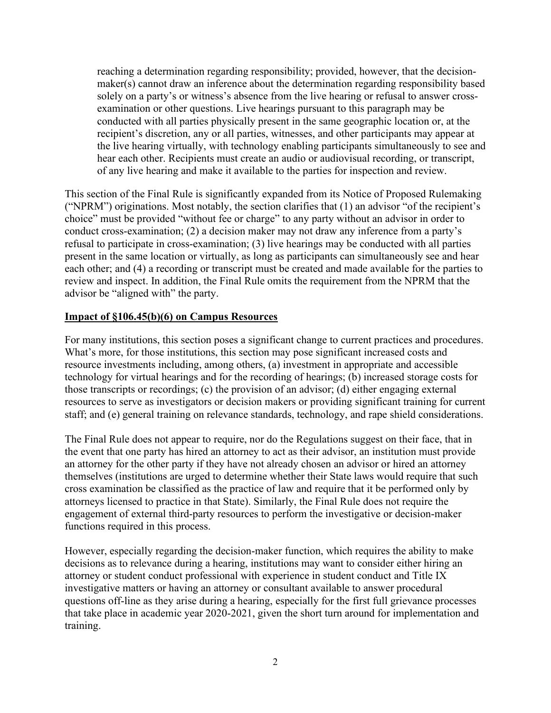reaching a determination regarding responsibility; provided, however, that the decisionmaker(s) cannot draw an inference about the determination regarding responsibility based solely on a party's or witness's absence from the live hearing or refusal to answer crossexamination or other questions. Live hearings pursuant to this paragraph may be conducted with all parties physically present in the same geographic location or, at the recipient's discretion, any or all parties, witnesses, and other participants may appear at the live hearing virtually, with technology enabling participants simultaneously to see and hear each other. Recipients must create an audio or audiovisual recording, or transcript, of any live hearing and make it available to the parties for inspection and review.

This section of the Final Rule is significantly expanded from its Notice of Proposed Rulemaking ("NPRM") originations. Most notably, the section clarifies that (1) an advisor "of the recipient's choice" must be provided "without fee or charge" to any party without an advisor in order to conduct cross-examination; (2) a decision maker may not draw any inference from a party's refusal to participate in cross-examination; (3) live hearings may be conducted with all parties present in the same location or virtually, as long as participants can simultaneously see and hear each other; and (4) a recording or transcript must be created and made available for the parties to review and inspect. In addition, the Final Rule omits the requirement from the NPRM that the advisor be "aligned with" the party.

# **Impact of §106.45(b)(6) on Campus Resources**

For many institutions, this section poses a significant change to current practices and procedures. What's more, for those institutions, this section may pose significant increased costs and resource investments including, among others, (a) investment in appropriate and accessible technology for virtual hearings and for the recording of hearings; (b) increased storage costs for those transcripts or recordings; (c) the provision of an advisor; (d) either engaging external resources to serve as investigators or decision makers or providing significant training for current staff; and (e) general training on relevance standards, technology, and rape shield considerations.

The Final Rule does not appear to require, nor do the Regulations suggest on their face, that in the event that one party has hired an attorney to act as their advisor, an institution must provide an attorney for the other party if they have not already chosen an advisor or hired an attorney themselves (institutions are urged to determine whether their State laws would require that such cross examination be classified as the practice of law and require that it be performed only by attorneys licensed to practice in that State). Similarly, the Final Rule does not require the engagement of external third-party resources to perform the investigative or decision-maker functions required in this process.

However, especially regarding the decision-maker function, which requires the ability to make decisions as to relevance during a hearing, institutions may want to consider either hiring an attorney or student conduct professional with experience in student conduct and Title IX investigative matters or having an attorney or consultant available to answer procedural questions off-line as they arise during a hearing, especially for the first full grievance processes that take place in academic year 2020-2021, given the short turn around for implementation and training.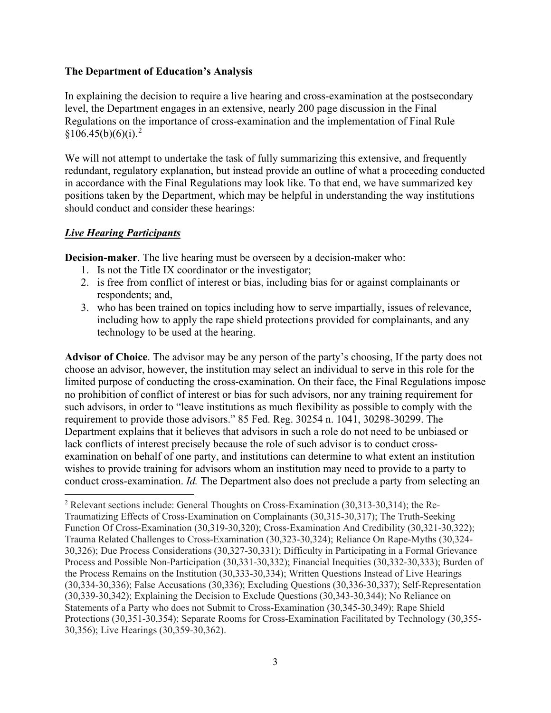## **The Department of Education's Analysis**

In explaining the decision to require a live hearing and cross-examination at the postsecondary level, the Department engages in an extensive, nearly 200 page discussion in the Final Regulations on the importance of cross-examination and the implementation of Final Rule  $§106.45(b)(6)(i).<sup>2</sup>$  $§106.45(b)(6)(i).<sup>2</sup>$  $§106.45(b)(6)(i).<sup>2</sup>$ 

We will not attempt to undertake the task of fully summarizing this extensive, and frequently redundant, regulatory explanation, but instead provide an outline of what a proceeding conducted in accordance with the Final Regulations may look like. To that end, we have summarized key positions taken by the Department, which may be helpful in understanding the way institutions should conduct and consider these hearings:

## *Live Hearing Participants*

**Decision-maker**. The live hearing must be overseen by a decision-maker who:

- 1. Is not the Title IX coordinator or the investigator;
- 2. is free from conflict of interest or bias, including bias for or against complainants or respondents; and,
- 3. who has been trained on topics including how to serve impartially, issues of relevance, including how to apply the rape shield protections provided for complainants, and any technology to be used at the hearing.

**Advisor of Choice**. The advisor may be any person of the party's choosing, If the party does not choose an advisor, however, the institution may select an individual to serve in this role for the limited purpose of conducting the cross-examination. On their face, the Final Regulations impose no prohibition of conflict of interest or bias for such advisors, nor any training requirement for such advisors, in order to "leave institutions as much flexibility as possible to comply with the requirement to provide those advisors." 85 Fed. Reg. 30254 n. 1041, 30298-30299. The Department explains that it believes that advisors in such a role do not need to be unbiased or lack conflicts of interest precisely because the role of such advisor is to conduct crossexamination on behalf of one party, and institutions can determine to what extent an institution wishes to provide training for advisors whom an institution may need to provide to a party to conduct cross-examination. *Id.* The Department also does not preclude a party from selecting an

<span id="page-2-0"></span><sup>2</sup> Relevant sections include: General Thoughts on Cross-Examination (30,313-30,314); the Re-Traumatizing Effects of Cross-Examination on Complainants (30,315-30,317); The Truth-Seeking Function Of Cross-Examination (30,319-30,320); Cross-Examination And Credibility (30,321-30,322); Trauma Related Challenges to Cross-Examination (30,323-30,324); Reliance On Rape-Myths (30,324- 30,326); Due Process Considerations (30,327-30,331); Difficulty in Participating in a Formal Grievance Process and Possible Non-Participation (30,331-30,332); Financial Inequities (30,332-30,333); Burden of the Process Remains on the Institution (30,333-30,334); Written Questions Instead of Live Hearings (30,334-30,336); False Accusations (30,336); Excluding Questions (30,336-30,337); Self-Representation (30,339-30,342); Explaining the Decision to Exclude Questions (30,343-30,344); No Reliance on Statements of a Party who does not Submit to Cross-Examination (30,345-30,349); Rape Shield Protections (30,351-30,354); Separate Rooms for Cross-Examination Facilitated by Technology (30,355- 30,356); Live Hearings (30,359-30,362).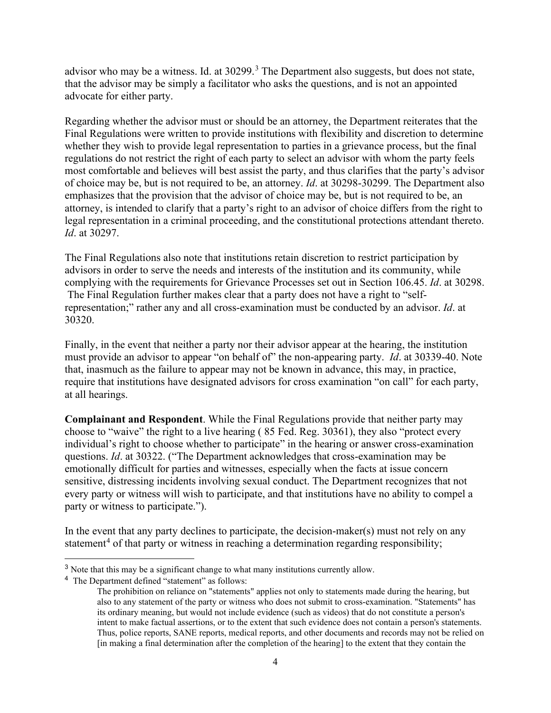advisor who may be a witness. Id. at [3](#page-3-0)0299.<sup>3</sup> The Department also suggests, but does not state, that the advisor may be simply a facilitator who asks the questions, and is not an appointed advocate for either party.

Regarding whether the advisor must or should be an attorney, the Department reiterates that the Final Regulations were written to provide institutions with flexibility and discretion to determine whether they wish to provide legal representation to parties in a grievance process, but the final regulations do not restrict the right of each party to select an advisor with whom the party feels most comfortable and believes will best assist the party, and thus clarifies that the party's advisor of choice may be, but is not required to be, an attorney. *Id*. at 30298-30299. The Department also emphasizes that the provision that the advisor of choice may be, but is not required to be, an attorney, is intended to clarify that a party's right to an advisor of choice differs from the right to legal representation in a criminal proceeding, and the constitutional protections attendant thereto. *Id*. at 30297.

The Final Regulations also note that institutions retain discretion to restrict participation by advisors in order to serve the needs and interests of the institution and its community, while complying with the requirements for Grievance Processes set out in Section 106.45. *Id*. at 30298. The Final Regulation further makes clear that a party does not have a right to "selfrepresentation;" rather any and all cross-examination must be conducted by an advisor. *Id*. at 30320.

Finally, in the event that neither a party nor their advisor appear at the hearing, the institution must provide an advisor to appear "on behalf of" the non-appearing party. *Id*. at 30339-40. Note that, inasmuch as the failure to appear may not be known in advance, this may, in practice, require that institutions have designated advisors for cross examination "on call" for each party, at all hearings.

**Complainant and Respondent**. While the Final Regulations provide that neither party may choose to "waive" the right to a live hearing ( 85 Fed. Reg. 30361), they also "protect every individual's right to choose whether to participate" in the hearing or answer cross-examination questions. *Id*. at 30322. ("The Department acknowledges that cross-examination may be emotionally difficult for parties and witnesses, especially when the facts at issue concern sensitive, distressing incidents involving sexual conduct. The Department recognizes that not every party or witness will wish to participate, and that institutions have no ability to compel a party or witness to participate.").

In the event that any party declines to participate, the decision-maker(s) must not rely on any statement<sup>[4](#page-3-1)</sup> of that party or witness in reaching a determination regarding responsibility;

<span id="page-3-0"></span><sup>&</sup>lt;sup>3</sup> Note that this may be a significant change to what many institutions currently allow.

<span id="page-3-1"></span><sup>4</sup> The Department defined "statement" as follows:

The prohibition on reliance on "statements" applies not only to statements made during the hearing, but also to any statement of the party or witness who does not submit to cross-examination. "Statements" has its ordinary meaning, but would not include evidence (such as videos) that do not constitute a person's intent to make factual assertions, or to the extent that such evidence does not contain a person's statements. Thus, police reports, SANE reports, medical reports, and other documents and records may not be relied on [in making a final determination after the completion of the hearing] to the extent that they contain the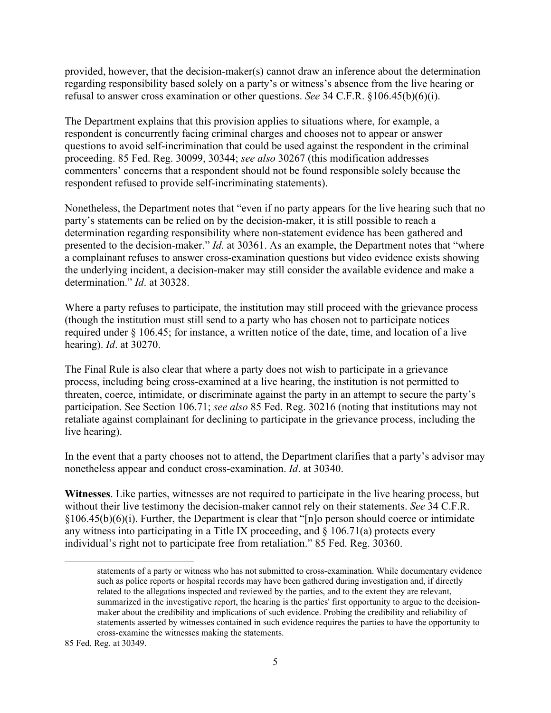provided, however, that the decision-maker(s) cannot draw an inference about the determination regarding responsibility based solely on a party's or witness's absence from the live hearing or refusal to answer cross examination or other questions. *See* 34 C.F.R. §106.45(b)(6)(i).

The Department explains that this provision applies to situations where, for example, a respondent is concurrently facing criminal charges and chooses not to appear or answer questions to avoid self-incrimination that could be used against the respondent in the criminal proceeding. 85 Fed. Reg. 30099, 30344; *see also* 30267 (this modification addresses commenters' concerns that a respondent should not be found responsible solely because the respondent refused to provide self-incriminating statements).

Nonetheless, the Department notes that "even if no party appears for the live hearing such that no party's statements can be relied on by the decision-maker, it is still possible to reach a determination regarding responsibility where non-statement evidence has been gathered and presented to the decision-maker." *Id*. at 30361. As an example, the Department notes that "where a complainant refuses to answer cross-examination questions but video evidence exists showing the underlying incident, a decision-maker may still consider the available evidence and make a determination." *Id*. at 30328.

Where a party refuses to participate, the institution may still proceed with the grievance process (though the institution must still send to a party who has chosen not to participate notices required under § 106.45; for instance, a written notice of the date, time, and location of a live hearing). *Id*. at 30270.

The Final Rule is also clear that where a party does not wish to participate in a grievance process, including being cross-examined at a live hearing, the institution is not permitted to threaten, coerce, intimidate, or discriminate against the party in an attempt to secure the party's participation. See Section 106.71; *see also* 85 Fed. Reg. 30216 (noting that institutions may not retaliate against complainant for declining to participate in the grievance process, including the live hearing).

In the event that a party chooses not to attend, the Department clarifies that a party's advisor may nonetheless appear and conduct cross-examination. *Id*. at 30340.

**Witnesses**. Like parties, witnesses are not required to participate in the live hearing process, but without their live testimony the decision-maker cannot rely on their statements. *See* 34 C.F.R.  $§106.45(b)(6)(i)$ . Further, the Department is clear that "[n]o person should coerce or intimidate any witness into participating in a Title IX proceeding, and  $\S$  106.71(a) protects every individual's right not to participate free from retaliation." 85 Fed. Reg. 30360.

statements of a party or witness who has not submitted to cross-examination. While documentary evidence such as police reports or hospital records may have been gathered during investigation and, if directly related to the allegations inspected and reviewed by the parties, and to the extent they are relevant, summarized in the investigative report, the hearing is the parties' first opportunity to argue to the decisionmaker about the credibility and implications of such evidence. Probing the credibility and reliability of statements asserted by witnesses contained in such evidence requires the parties to have the opportunity to cross-examine the witnesses making the statements.

<sup>85</sup> Fed. Reg. at 30349.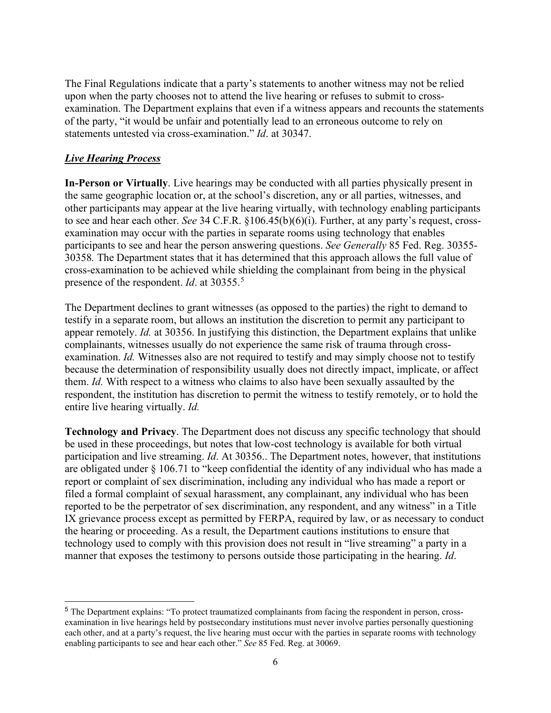The Final Regulations indicate that a party's statements to another witness may not be relied upon when the party chooses not to attend the live hearing or refuses to submit to crossexamination. The Department explains that even if a witness appears and recounts the statements of the party, "it would be unfair and potentially lead to an erroneous outcome to rely on statements untested via cross-examination." *Id*. at 30347.

# *Live Hearing Process*

**In-Person or Virtually**. Live hearings may be conducted with all parties physically present in the same geographic location or, at the school's discretion, any or all parties, witnesses, and other participants may appear at the live hearing virtually, with technology enabling participants to see and hear each other. *See* 34 C.F.R. §106.45(b)(6)(i). Further, at any party's request, crossexamination may occur with the parties in separate rooms using technology that enables participants to see and hear the person answering questions. *See Generally* 85 Fed. Reg. 30355- 30358*.* The Department states that it has determined that this approach allows the full value of cross-examination to be achieved while shielding the complainant from being in the physical presence of the respondent. *Id*. at 30355. [5](#page-5-0)

The Department declines to grant witnesses (as opposed to the parties) the right to demand to testify in a separate room, but allows an institution the discretion to permit any participant to appear remotely. *Id.* at 30356. In justifying this distinction, the Department explains that unlike complainants, witnesses usually do not experience the same risk of trauma through crossexamination. *Id.* Witnesses also are not required to testify and may simply choose not to testify because the determination of responsibility usually does not directly impact, implicate, or affect them. *Id.* With respect to a witness who claims to also have been sexually assaulted by the respondent, the institution has discretion to permit the witness to testify remotely, or to hold the entire live hearing virtually. *Id.*

**Technology and Privacy**. The Department does not discuss any specific technology that should be used in these proceedings, but notes that low-cost technology is available for both virtual participation and live streaming. *Id*. At 30356.. The Department notes, however, that institutions are obligated under  $\S 106.71$  to "keep confidential the identity of any individual who has made a report or complaint of sex discrimination, including any individual who has made a report or filed a formal complaint of sexual harassment, any complainant, any individual who has been reported to be the perpetrator of sex discrimination, any respondent, and any witness" in a Title IX grievance process except as permitted by FERPA, required by law, or as necessary to conduct the hearing or proceeding. As a result, the Department cautions institutions to ensure that technology used to comply with this provision does not result in "live streaming" a party in a manner that exposes the testimony to persons outside those participating in the hearing. *Id*.

<span id="page-5-0"></span><sup>5</sup> The Department explains: "To protect traumatized complainants from facing the respondent in person, crossexamination in live hearings held by postsecondary institutions must never involve parties personally questioning each other, and at a party's request, the live hearing must occur with the parties in separate rooms with technology enabling participants to see and hear each other." *See* 85 Fed. Reg. at 30069.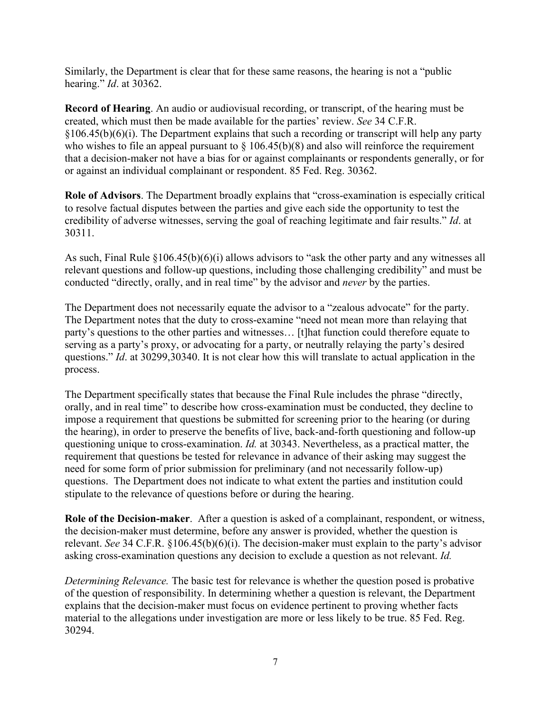Similarly, the Department is clear that for these same reasons, the hearing is not a "public hearing." *Id*. at 30362.

**Record of Hearing**. An audio or audiovisual recording, or transcript, of the hearing must be created, which must then be made available for the parties' review. *See* 34 C.F.R.  $§106.45(b)(6)(i)$ . The Department explains that such a recording or transcript will help any party who wishes to file an appeal pursuant to  $\S$  106.45(b)(8) and also will reinforce the requirement that a decision-maker not have a bias for or against complainants or respondents generally, or for or against an individual complainant or respondent. 85 Fed. Reg. 30362.

**Role of Advisors**. The Department broadly explains that "cross-examination is especially critical to resolve factual disputes between the parties and give each side the opportunity to test the credibility of adverse witnesses, serving the goal of reaching legitimate and fair results." *Id*. at 30311.

As such, Final Rule §106.45(b)(6)(i) allows advisors to "ask the other party and any witnesses all relevant questions and follow-up questions, including those challenging credibility" and must be conducted "directly, orally, and in real time" by the advisor and *never* by the parties.

The Department does not necessarily equate the advisor to a "zealous advocate" for the party. The Department notes that the duty to cross-examine "need not mean more than relaying that party's questions to the other parties and witnesses… [t]hat function could therefore equate to serving as a party's proxy, or advocating for a party, or neutrally relaying the party's desired questions." *Id.* at 30299,30340. It is not clear how this will translate to actual application in the process.

The Department specifically states that because the Final Rule includes the phrase "directly, orally, and in real time" to describe how cross-examination must be conducted, they decline to impose a requirement that questions be submitted for screening prior to the hearing (or during the hearing), in order to preserve the benefits of live, back-and-forth questioning and follow-up questioning unique to cross-examination. *Id.* at 30343. Nevertheless, as a practical matter, the requirement that questions be tested for relevance in advance of their asking may suggest the need for some form of prior submission for preliminary (and not necessarily follow-up) questions. The Department does not indicate to what extent the parties and institution could stipulate to the relevance of questions before or during the hearing.

**Role of the Decision-maker**. After a question is asked of a complainant, respondent, or witness, the decision-maker must determine, before any answer is provided, whether the question is relevant. *See* 34 C.F.R. §106.45(b)(6)(i). The decision-maker must explain to the party's advisor asking cross-examination questions any decision to exclude a question as not relevant. *Id.*

*Determining Relevance.* The basic test for relevance is whether the question posed is probative of the question of responsibility. In determining whether a question is relevant, the Department explains that the decision-maker must focus on evidence pertinent to proving whether facts material to the allegations under investigation are more or less likely to be true. 85 Fed. Reg. 30294.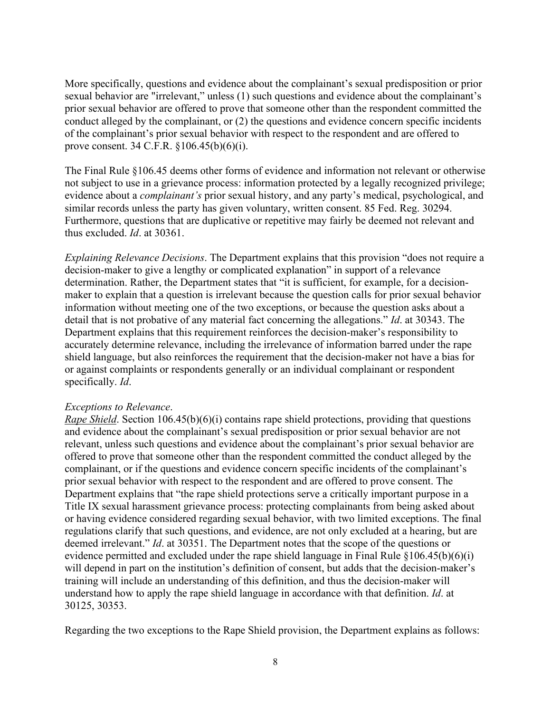More specifically, questions and evidence about the complainant's sexual predisposition or prior sexual behavior are "irrelevant," unless (1) such questions and evidence about the complainant's prior sexual behavior are offered to prove that someone other than the respondent committed the conduct alleged by the complainant, or (2) the questions and evidence concern specific incidents of the complainant's prior sexual behavior with respect to the respondent and are offered to prove consent. 34 C.F.R. §106.45(b)(6)(i).

The Final Rule §106.45 deems other forms of evidence and information not relevant or otherwise not subject to use in a grievance process: information protected by a legally recognized privilege; evidence about a *complainant's* prior sexual history, and any party's medical, psychological, and similar records unless the party has given voluntary, written consent. 85 Fed. Reg. 30294. Furthermore, questions that are duplicative or repetitive may fairly be deemed not relevant and thus excluded. *Id*. at 30361.

*Explaining Relevance Decisions*. The Department explains that this provision "does not require a decision-maker to give a lengthy or complicated explanation" in support of a relevance determination. Rather, the Department states that "it is sufficient, for example, for a decisionmaker to explain that a question is irrelevant because the question calls for prior sexual behavior information without meeting one of the two exceptions, or because the question asks about a detail that is not probative of any material fact concerning the allegations." *Id*. at 30343. The Department explains that this requirement reinforces the decision-maker's responsibility to accurately determine relevance, including the irrelevance of information barred under the rape shield language, but also reinforces the requirement that the decision-maker not have a bias for or against complaints or respondents generally or an individual complainant or respondent specifically. *Id*.

#### *Exceptions to Relevance*.

*Rape Shield*. Section 106.45(b)(6)(i) contains rape shield protections, providing that questions and evidence about the complainant's sexual predisposition or prior sexual behavior are not relevant, unless such questions and evidence about the complainant's prior sexual behavior are offered to prove that someone other than the respondent committed the conduct alleged by the complainant, or if the questions and evidence concern specific incidents of the complainant's prior sexual behavior with respect to the respondent and are offered to prove consent. The Department explains that "the rape shield protections serve a critically important purpose in a Title IX sexual harassment grievance process: protecting complainants from being asked about or having evidence considered regarding sexual behavior, with two limited exceptions. The final regulations clarify that such questions, and evidence, are not only excluded at a hearing, but are deemed irrelevant." *Id*. at 30351. The Department notes that the scope of the questions or evidence permitted and excluded under the rape shield language in Final Rule §106.45(b)(6)(i) will depend in part on the institution's definition of consent, but adds that the decision-maker's training will include an understanding of this definition, and thus the decision-maker will understand how to apply the rape shield language in accordance with that definition. *Id*. at 30125, 30353.

Regarding the two exceptions to the Rape Shield provision, the Department explains as follows: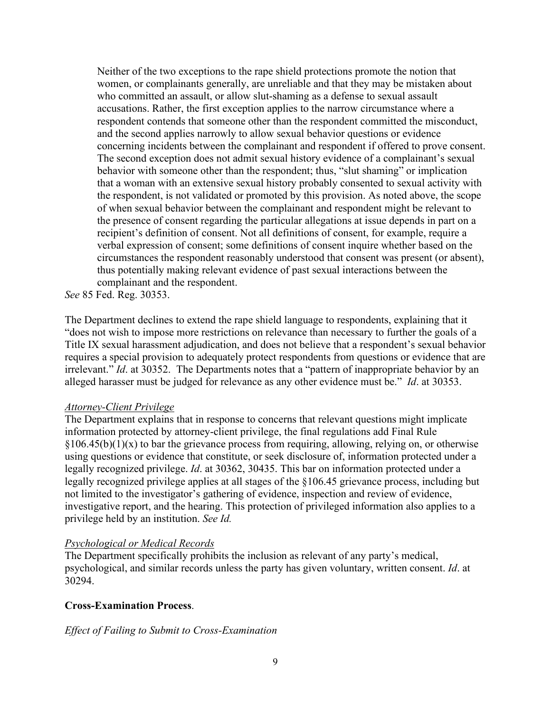Neither of the two exceptions to the rape shield protections promote the notion that women, or complainants generally, are unreliable and that they may be mistaken about who committed an assault, or allow slut-shaming as a defense to sexual assault accusations. Rather, the first exception applies to the narrow circumstance where a respondent contends that someone other than the respondent committed the misconduct, and the second applies narrowly to allow sexual behavior questions or evidence concerning incidents between the complainant and respondent if offered to prove consent. The second exception does not admit sexual history evidence of a complainant's sexual behavior with someone other than the respondent; thus, "slut shaming" or implication that a woman with an extensive sexual history probably consented to sexual activity with the respondent, is not validated or promoted by this provision. As noted above, the scope of when sexual behavior between the complainant and respondent might be relevant to the presence of consent regarding the particular allegations at issue depends in part on a recipient's definition of consent. Not all definitions of consent, for example, require a verbal expression of consent; some definitions of consent inquire whether based on the circumstances the respondent reasonably understood that consent was present (or absent), thus potentially making relevant evidence of past sexual interactions between the complainant and the respondent.

*See* 85 Fed. Reg. 30353.

The Department declines to extend the rape shield language to respondents, explaining that it "does not wish to impose more restrictions on relevance than necessary to further the goals of a Title IX sexual harassment adjudication, and does not believe that a respondent's sexual behavior requires a special provision to adequately protect respondents from questions or evidence that are irrelevant." *Id*. at 30352. The Departments notes that a "pattern of inappropriate behavior by an alleged harasser must be judged for relevance as any other evidence must be." *Id*. at 30353.

### *Attorney-Client Privilege*

The Department explains that in response to concerns that relevant questions might implicate information protected by attorney-client privilege, the final regulations add Final Rule  $\S106.45(b)(1)(x)$  to bar the grievance process from requiring, allowing, relying on, or otherwise using questions or evidence that constitute, or seek disclosure of, information protected under a legally recognized privilege. *Id*. at 30362, 30435. This bar on information protected under a legally recognized privilege applies at all stages of the §106.45 grievance process, including but not limited to the investigator's gathering of evidence, inspection and review of evidence, investigative report, and the hearing. This protection of privileged information also applies to a privilege held by an institution. *See Id.*

## *Psychological or Medical Records*

The Department specifically prohibits the inclusion as relevant of any party's medical, psychological, and similar records unless the party has given voluntary, written consent. *Id*. at 30294.

## **Cross-Examination Process**.

### *Effect of Failing to Submit to Cross-Examination*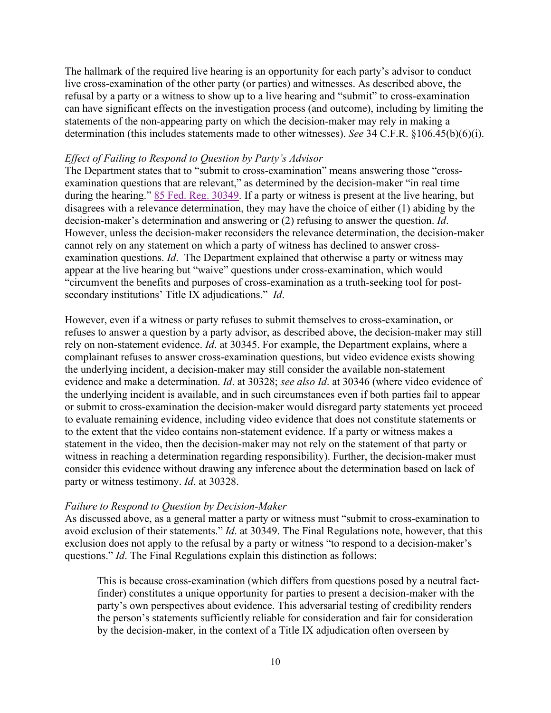The hallmark of the required live hearing is an opportunity for each party's advisor to conduct live cross-examination of the other party (or parties) and witnesses. As described above, the refusal by a party or a witness to show up to a live hearing and "submit" to cross-examination can have significant effects on the investigation process (and outcome), including by limiting the statements of the non-appearing party on which the decision-maker may rely in making a determination (this includes statements made to other witnesses). *See* 34 C.F.R. §106.45(b)(6)(i).

### *Effect of Failing to Respond to Question by Party's Advisor*

The Department states that to "submit to cross-examination" means answering those "crossexamination questions that are relevant," as determined by the decision-maker "in real time during the hearing." 85 Fed. Reg. 30349. If a party or witness is present at the live hearing, but disagrees with a relevance determination, they may have the choice of either (1) abiding by the decision-maker's determination and answering or (2) refusing to answer the question. *Id*. However, unless the decision-maker reconsiders the relevance determination, the decision-maker cannot rely on any statement on which a party of witness has declined to answer crossexamination questions. *Id*. The Department explained that otherwise a party or witness may appear at the live hearing but "waive" questions under cross-examination, which would "circumvent the benefits and purposes of cross-examination as a truth-seeking tool for postsecondary institutions' Title IX adjudications." *Id*.

However, even if a witness or party refuses to submit themselves to cross-examination, or refuses to answer a question by a party advisor, as described above, the decision-maker may still rely on non-statement evidence. *Id*. at 30345. For example, the Department explains, where a complainant refuses to answer cross-examination questions, but video evidence exists showing the underlying incident, a decision-maker may still consider the available non-statement evidence and make a determination. *Id*. at 30328; *see also Id*. at 30346 (where video evidence of the underlying incident is available, and in such circumstances even if both parties fail to appear or submit to cross-examination the decision-maker would disregard party statements yet proceed to evaluate remaining evidence, including video evidence that does not constitute statements or to the extent that the video contains non-statement evidence. If a party or witness makes a statement in the video, then the decision-maker may not rely on the statement of that party or witness in reaching a determination regarding responsibility). Further, the decision-maker must consider this evidence without drawing any inference about the determination based on lack of party or witness testimony. *Id*. at 30328.

#### *Failure to Respond to Question by Decision-Maker*

As discussed above, as a general matter a party or witness must "submit to cross-examination to avoid exclusion of their statements." *Id*. at 30349. The Final Regulations note, however, that this exclusion does not apply to the refusal by a party or witness "to respond to a decision-maker's questions." *Id*. The Final Regulations explain this distinction as follows:

This is because cross-examination (which differs from questions posed by a neutral factfinder) constitutes a unique opportunity for parties to present a decision-maker with the party's own perspectives about evidence. This adversarial testing of credibility renders the person's statements sufficiently reliable for consideration and fair for consideration by the decision-maker, in the context of a Title IX adjudication often overseen by